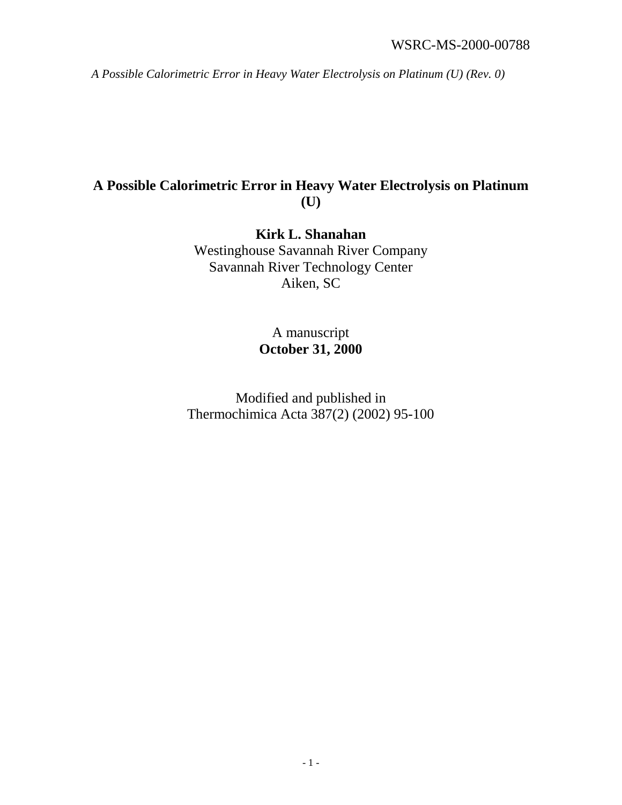# **A Possible Calorimetric Error in Heavy Water Electrolysis on Platinum (U)**

**Kirk L. Shanahan** Westinghouse Savannah River Company Savannah River Technology Center Aiken, SC

> A manuscript **October 31, 2000**

Modified and published in Thermochimica Acta 387(2) (2002) 95-100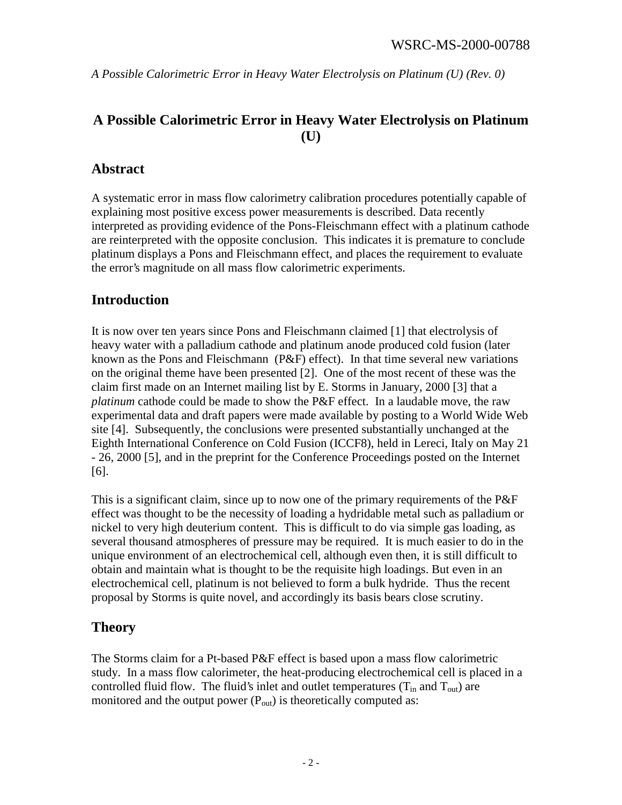# **A Possible Calorimetric Error in Heavy Water Electrolysis on Platinum (U)**

## **Abstract**

A systematic error in mass flow calorimetry calibration procedures potentially capable of explaining most positive excess power measurements is described. Data recently interpreted as providing evidence of the Pons-Fleischmann effect with a platinum cathode are reinterpreted with the opposite conclusion. This indicates it is premature to conclude platinum displays a Pons and Fleischmann effect, and places the requirement to evaluate the error's magnitude on all mass flow calorimetric experiments.

## **Introduction**

It is now over ten years since Pons and Fleischmann claimed [1] that electrolysis of heavy water with a palladium cathode and platinum anode produced cold fusion (later known as the Pons and Fleischmann (P&F) effect). In that time several new variations on the original theme have been presented [2]. One of the most recent of these was the claim first made on an Internet mailing list by E. Storms in January, 2000 [3] that a *platinum* cathode could be made to show the P&F effect. In a laudable move, the raw experimental data and draft papers were made available by posting to a World Wide Web site [4]. Subsequently, the conclusions were presented substantially unchanged at the Eighth International Conference on Cold Fusion (ICCF8), held in Lereci, Italy on May 21 - 26, 2000 [5], and in the preprint for the Conference Proceedings posted on the Internet [6].

This is a significant claim, since up to now one of the primary requirements of the P&F effect was thought to be the necessity of loading a hydridable metal such as palladium or nickel to very high deuterium content. This is difficult to do via simple gas loading, as several thousand atmospheres of pressure may be required. It is much easier to do in the unique environment of an electrochemical cell, although even then, it is still difficult to obtain and maintain what is thought to be the requisite high loadings. But even in an electrochemical cell, platinum is not believed to form a bulk hydride. Thus the recent proposal by Storms is quite novel, and accordingly its basis bears close scrutiny.

## **Theory**

The Storms claim for a Pt-based P&F effect is based upon a mass flow calorimetric study. In a mass flow calorimeter, the heat-producing electrochemical cell is placed in a controlled fluid flow. The fluid's inlet and outlet temperatures  $(T_{in}$  and  $T_{out}$ ) are monitored and the output power  $(P_{out})$  is theoretically computed as: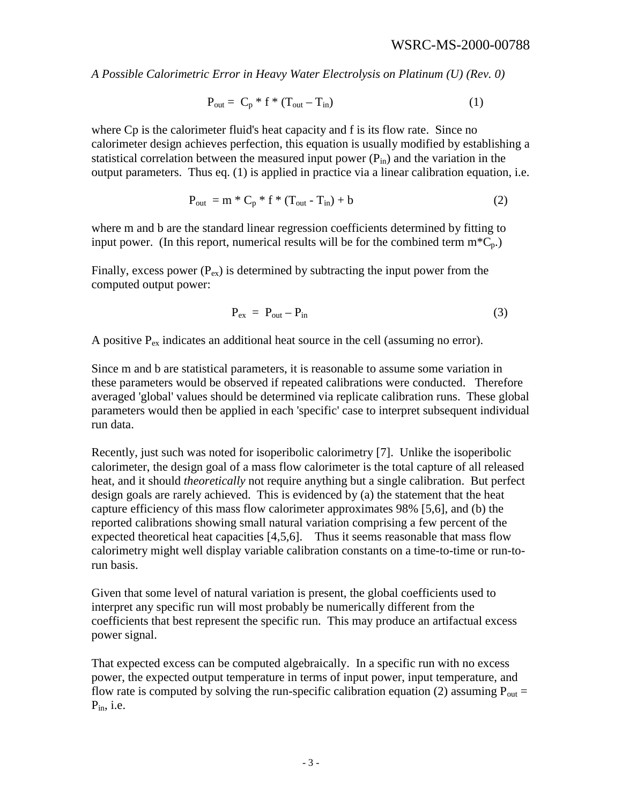$$
P_{out} = C_p * f * (T_{out} - T_{in})
$$
\n(1)

where Cp is the calorimeter fluid's heat capacity and f is its flow rate. Since no calorimeter design achieves perfection, this equation is usually modified by establishing a statistical correlation between the measured input power  $(P_{in})$  and the variation in the output parameters. Thus eq. (1) is applied in practice via a linear calibration equation, i.e.

$$
P_{\text{out}} = m \ast C_p \ast f \ast (T_{\text{out}} - T_{\text{in}}) + b \tag{2}
$$

where m and b are the standard linear regression coefficients determined by fitting to input power. (In this report, numerical results will be for the combined term  $m<sup>*</sup>C<sub>n</sub>$ .)

Finally, excess power  $(P_{ex})$  is determined by subtracting the input power from the computed output power:

$$
P_{ex} = P_{out} - P_{in}
$$
 (3)

A positive Pex indicates an additional heat source in the cell (assuming no error).

Since m and b are statistical parameters, it is reasonable to assume some variation in these parameters would be observed if repeated calibrations were conducted. Therefore averaged 'global' values should be determined via replicate calibration runs. These global parameters would then be applied in each 'specific' case to interpret subsequent individual run data.

Recently, just such was noted for isoperibolic calorimetry [7]. Unlike the isoperibolic calorimeter, the design goal of a mass flow calorimeter is the total capture of all released heat, and it should *theoretically* not require anything but a single calibration. But perfect design goals are rarely achieved. This is evidenced by (a) the statement that the heat capture efficiency of this mass flow calorimeter approximates 98% [5,6], and (b) the reported calibrations showing small natural variation comprising a few percent of the expected theoretical heat capacities [4,5,6]. Thus it seems reasonable that mass flow calorimetry might well display variable calibration constants on a time-to-time or run-torun basis.

Given that some level of natural variation is present, the global coefficients used to interpret any specific run will most probably be numerically different from the coefficients that best represent the specific run. This may produce an artifactual excess power signal.

That expected excess can be computed algebraically. In a specific run with no excess power, the expected output temperature in terms of input power, input temperature, and flow rate is computed by solving the run-specific calibration equation (2) assuming  $P_{out}$  =  $P_{in}$ , i.e.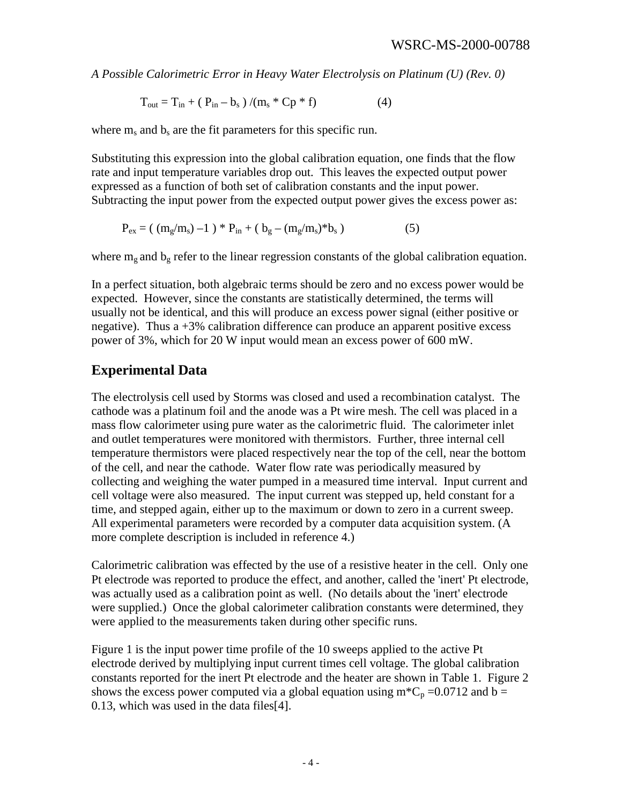$$
T_{out} = T_{in} + (P_{in} - b_s) / (m_s * Cp * f)
$$
 (4)

where  $m_s$  and  $b_s$  are the fit parameters for this specific run.

Substituting this expression into the global calibration equation, one finds that the flow rate and input temperature variables drop out. This leaves the expected output power expressed as a function of both set of calibration constants and the input power. Subtracting the input power from the expected output power gives the excess power as:

$$
P_{ex} = ( (m_g/m_s) - 1 ) * P_{in} + ( b_g - (m_g/m_s) * b_s )
$$
 (5)

where  $m_g$  and  $b_g$  refer to the linear regression constants of the global calibration equation.

In a perfect situation, both algebraic terms should be zero and no excess power would be expected. However, since the constants are statistically determined, the terms will usually not be identical, and this will produce an excess power signal (either positive or negative). Thus  $a + 3\%$  calibration difference can produce an apparent positive excess power of 3%, which for 20 W input would mean an excess power of 600 mW.

#### **Experimental Data**

The electrolysis cell used by Storms was closed and used a recombination catalyst. The cathode was a platinum foil and the anode was a Pt wire mesh. The cell was placed in a mass flow calorimeter using pure water as the calorimetric fluid. The calorimeter inlet and outlet temperatures were monitored with thermistors. Further, three internal cell temperature thermistors were placed respectively near the top of the cell, near the bottom of the cell, and near the cathode. Water flow rate was periodically measured by collecting and weighing the water pumped in a measured time interval. Input current and cell voltage were also measured. The input current was stepped up, held constant for a time, and stepped again, either up to the maximum or down to zero in a current sweep. All experimental parameters were recorded by a computer data acquisition system. (A more complete description is included in reference 4.)

Calorimetric calibration was effected by the use of a resistive heater in the cell. Only one Pt electrode was reported to produce the effect, and another, called the 'inert' Pt electrode, was actually used as a calibration point as well. (No details about the 'inert' electrode were supplied.) Once the global calorimeter calibration constants were determined, they were applied to the measurements taken during other specific runs.

Figure 1 is the input power time profile of the 10 sweeps applied to the active Pt electrode derived by multiplying input current times cell voltage. The global calibration constants reported for the inert Pt electrode and the heater are shown in Table 1. Figure 2 shows the excess power computed via a global equation using  $m<sup>*</sup>C<sub>p</sub> = 0.0712$  and  $b =$ 0.13, which was used in the data files[4].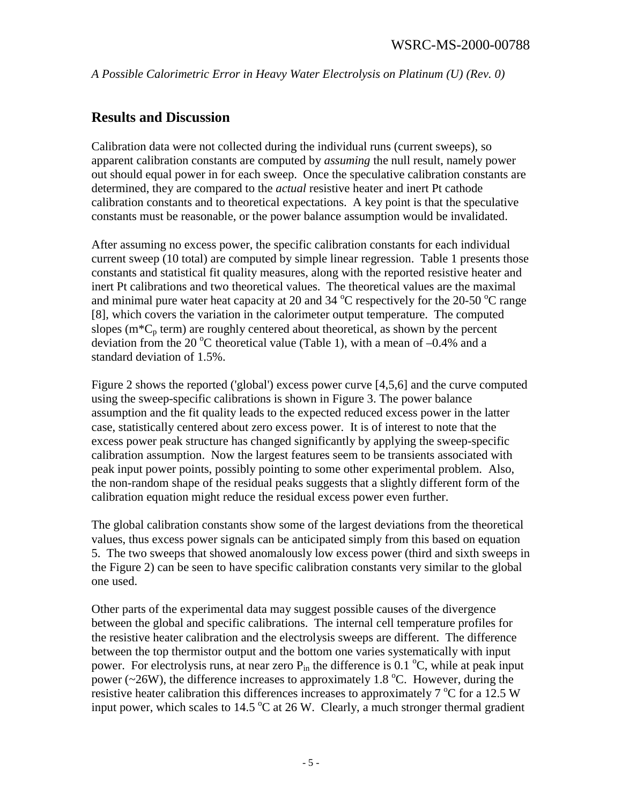## **Results and Discussion**

Calibration data were not collected during the individual runs (current sweeps), so apparent calibration constants are computed by *assuming* the null result, namely power out should equal power in for each sweep. Once the speculative calibration constants are determined, they are compared to the *actual* resistive heater and inert Pt cathode calibration constants and to theoretical expectations. A key point is that the speculative constants must be reasonable, or the power balance assumption would be invalidated.

After assuming no excess power, the specific calibration constants for each individual current sweep (10 total) are computed by simple linear regression. Table 1 presents those constants and statistical fit quality measures, along with the reported resistive heater and inert Pt calibrations and two theoretical values. The theoretical values are the maximal and minimal pure water heat capacity at 20 and 34  $^{\circ}$ C respectively for the 20-50  $^{\circ}$ C range [8], which covers the variation in the calorimeter output temperature. The computed slopes  $(m<sup>*</sup>C<sub>p</sub> term)$  are roughly centered about theoretical, as shown by the percent deviation from the 20 °C theoretical value (Table 1), with a mean of  $-0.4\%$  and a standard deviation of 1.5%.

Figure 2 shows the reported ('global') excess power curve [4,5,6] and the curve computed using the sweep-specific calibrations is shown in Figure 3. The power balance assumption and the fit quality leads to the expected reduced excess power in the latter case, statistically centered about zero excess power. It is of interest to note that the excess power peak structure has changed significantly by applying the sweep-specific calibration assumption. Now the largest features seem to be transients associated with peak input power points, possibly pointing to some other experimental problem. Also, the non-random shape of the residual peaks suggests that a slightly different form of the calibration equation might reduce the residual excess power even further.

The global calibration constants show some of the largest deviations from the theoretical values, thus excess power signals can be anticipated simply from this based on equation 5. The two sweeps that showed anomalously low excess power (third and sixth sweeps in the Figure 2) can be seen to have specific calibration constants very similar to the global one used.

Other parts of the experimental data may suggest possible causes of the divergence between the global and specific calibrations. The internal cell temperature profiles for the resistive heater calibration and the electrolysis sweeps are different. The difference between the top thermistor output and the bottom one varies systematically with input power. For electrolysis runs, at near zero  $P_{in}$  the difference is 0.1 °C, while at peak input power ( $\sim$ 26W), the difference increases to approximately 1.8 °C. However, during the resistive heater calibration this differences increases to approximately  $7^{\circ}$ C for a 12.5 W input power, which scales to 14.5  $\mathrm{^{\circ}C}$  at 26 W. Clearly, a much stronger thermal gradient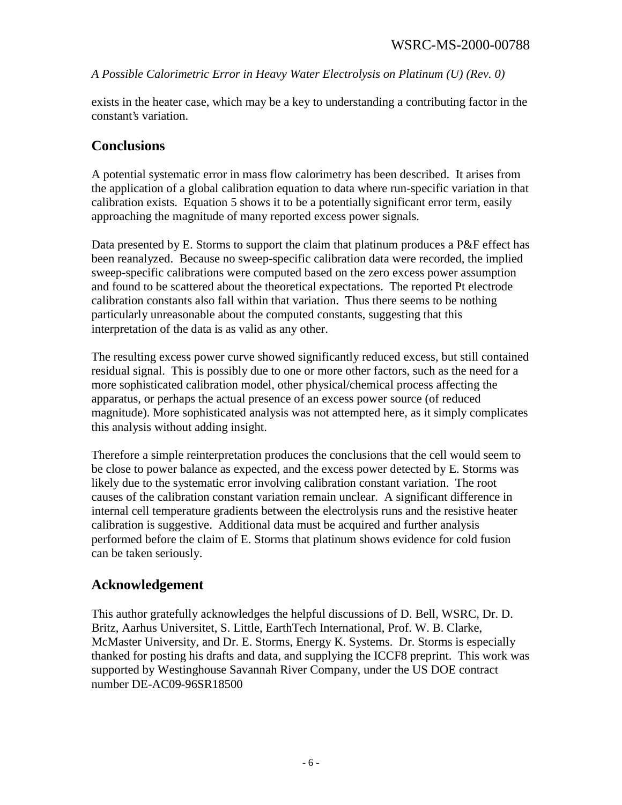exists in the heater case, which may be a key to understanding a contributing factor in the constant's variation.

#### **Conclusions**

A potential systematic error in mass flow calorimetry has been described. It arises from the application of a global calibration equation to data where run-specific variation in that calibration exists. Equation 5 shows it to be a potentially significant error term, easily approaching the magnitude of many reported excess power signals.

Data presented by E. Storms to support the claim that platinum produces a P&F effect has been reanalyzed. Because no sweep-specific calibration data were recorded, the implied sweep-specific calibrations were computed based on the zero excess power assumption and found to be scattered about the theoretical expectations. The reported Pt electrode calibration constants also fall within that variation. Thus there seems to be nothing particularly unreasonable about the computed constants, suggesting that this interpretation of the data is as valid as any other.

The resulting excess power curve showed significantly reduced excess, but still contained residual signal. This is possibly due to one or more other factors, such as the need for a more sophisticated calibration model, other physical/chemical process affecting the apparatus, or perhaps the actual presence of an excess power source (of reduced magnitude). More sophisticated analysis was not attempted here, as it simply complicates this analysis without adding insight.

Therefore a simple reinterpretation produces the conclusions that the cell would seem to be close to power balance as expected, and the excess power detected by E. Storms was likely due to the systematic error involving calibration constant variation. The root causes of the calibration constant variation remain unclear. A significant difference in internal cell temperature gradients between the electrolysis runs and the resistive heater calibration is suggestive. Additional data must be acquired and further analysis performed before the claim of E. Storms that platinum shows evidence for cold fusion can be taken seriously.

## **Acknowledgement**

This author gratefully acknowledges the helpful discussions of D. Bell, WSRC, Dr. D. Britz, Aarhus Universitet, S. Little, EarthTech International, Prof. W. B. Clarke, McMaster University, and Dr. E. Storms, Energy K. Systems. Dr. Storms is especially thanked for posting his drafts and data, and supplying the ICCF8 preprint. This work was supported by Westinghouse Savannah River Company, under the US DOE contract number DE-AC09-96SR18500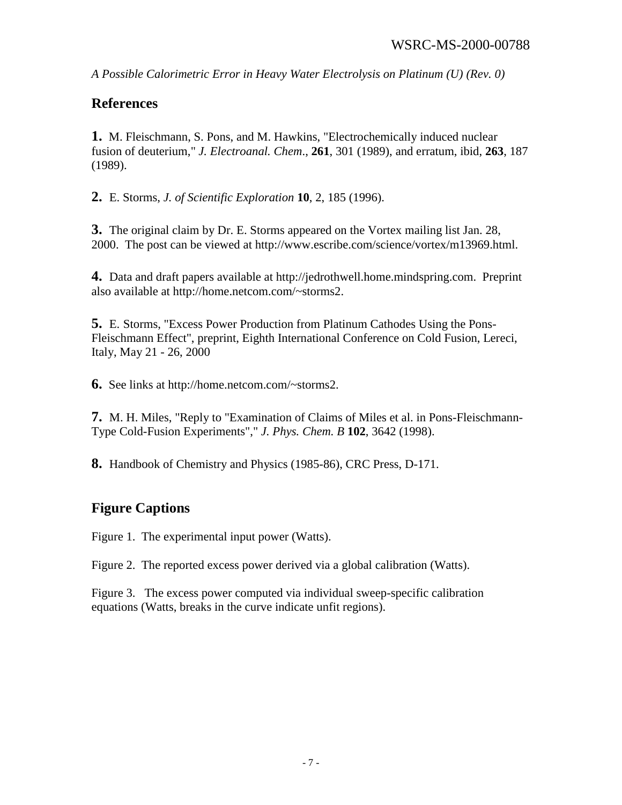### **References**

**1.** M. Fleischmann, S. Pons, and M. Hawkins, "Electrochemically induced nuclear fusion of deuterium," *J. Electroanal. Chem*., **261**, 301 (1989), and erratum, ibid, **263**, 187 (1989).

**2.** E. Storms, *J. of Scientific Exploration* **10**, 2, 185 (1996).

**3.** The original claim by Dr. E. Storms appeared on the Vortex mailing list Jan. 28, 2000. The post can be viewed at http://www.escribe.com/science/vortex/m13969.html.

**4.** Data and draft papers available at http://jedrothwell.home.mindspring.com. Preprint also available at http://home.netcom.com/~storms2.

**5.** E. Storms, "Excess Power Production from Platinum Cathodes Using the Pons-Fleischmann Effect", preprint, Eighth International Conference on Cold Fusion, Lereci, Italy, May 21 - 26, 2000

**6.** See links at http://home.netcom.com/~storms2.

**7.** M. H. Miles, "Reply to "Examination of Claims of Miles et al. in Pons-Fleischmann-Type Cold-Fusion Experiments"," *J. Phys. Chem. B* **102**, 3642 (1998).

**8.** Handbook of Chemistry and Physics (1985-86), CRC Press, D-171.

## **Figure Captions**

Figure 1. The experimental input power (Watts).

Figure 2. The reported excess power derived via a global calibration (Watts).

Figure 3. The excess power computed via individual sweep-specific calibration equations (Watts, breaks in the curve indicate unfit regions).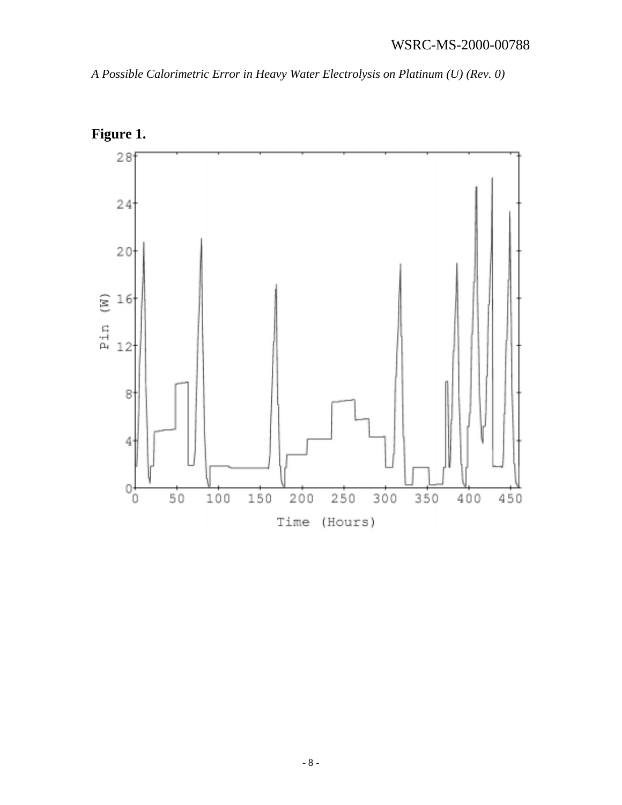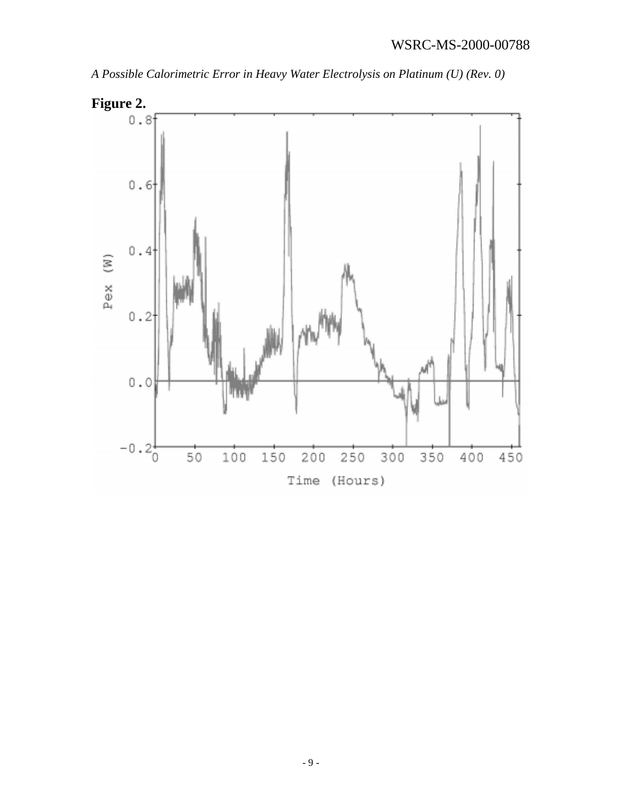# WSRC-MS-2000-00788



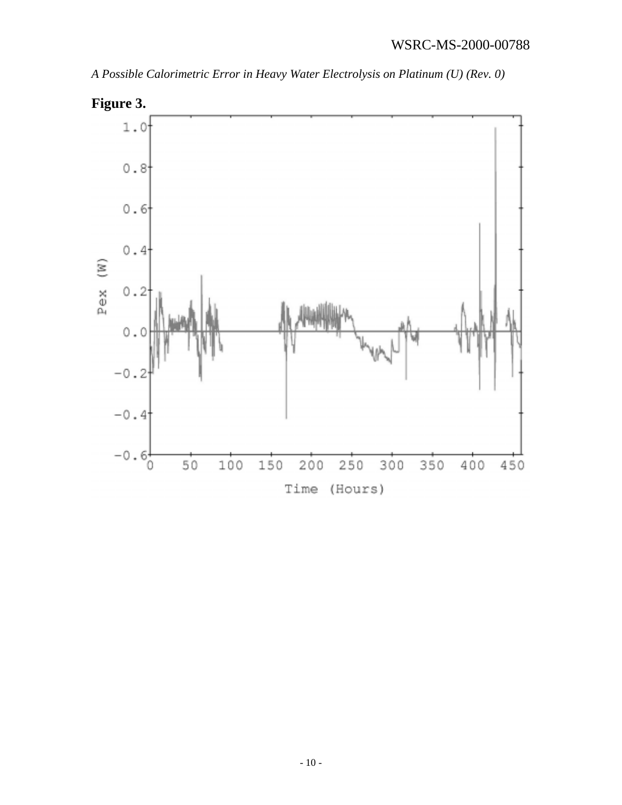#### WSRC-MS-2000-00788

*A Possible Calorimetric Error in Heavy Water Electrolysis on Platinum (U) (Rev. 0)*